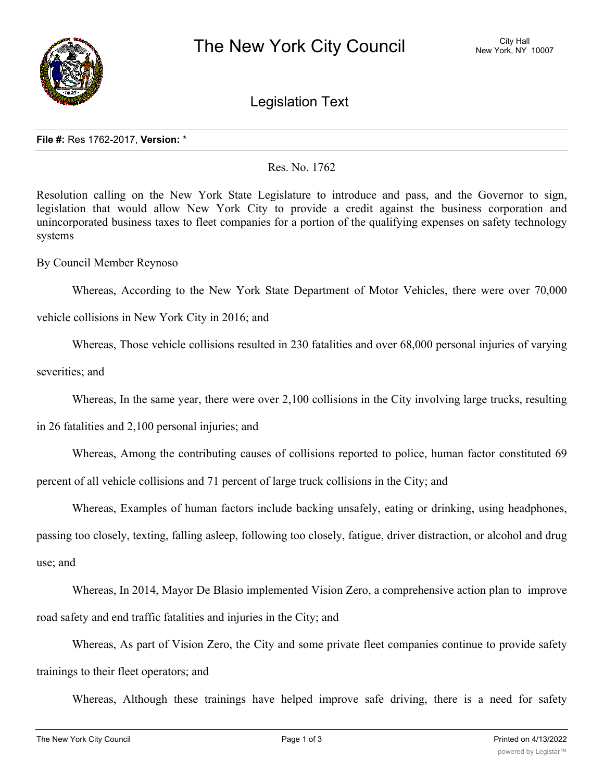

Legislation Text

## **File #:** Res 1762-2017, **Version:** \*

Res. No. 1762

Resolution calling on the New York State Legislature to introduce and pass, and the Governor to sign, legislation that would allow New York City to provide a credit against the business corporation and unincorporated business taxes to fleet companies for a portion of the qualifying expenses on safety technology systems

By Council Member Reynoso

Whereas, According to the New York State Department of Motor Vehicles, there were over 70,000

vehicle collisions in New York City in 2016; and

Whereas, Those vehicle collisions resulted in 230 fatalities and over 68,000 personal injuries of varying

severities; and

Whereas, In the same year, there were over 2,100 collisions in the City involving large trucks, resulting

in 26 fatalities and 2,100 personal injuries; and

Whereas, Among the contributing causes of collisions reported to police, human factor constituted 69

percent of all vehicle collisions and 71 percent of large truck collisions in the City; and

Whereas, Examples of human factors include backing unsafely, eating or drinking, using headphones, passing too closely, texting, falling asleep, following too closely, fatigue, driver distraction, or alcohol and drug

use; and

Whereas, In 2014, Mayor De Blasio implemented Vision Zero, a comprehensive action plan to improve road safety and end traffic fatalities and injuries in the City; and

Whereas, As part of Vision Zero, the City and some private fleet companies continue to provide safety trainings to their fleet operators; and

Whereas, Although these trainings have helped improve safe driving, there is a need for safety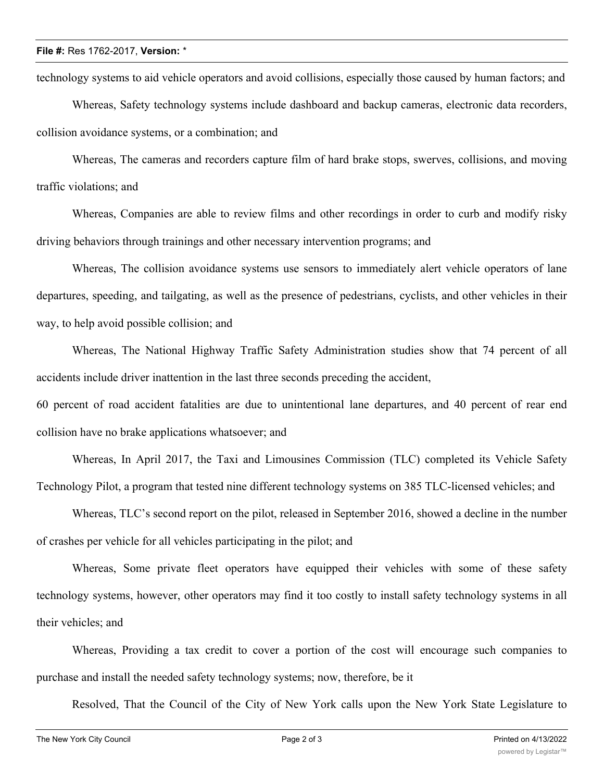## **File #:** Res 1762-2017, **Version:** \*

technology systems to aid vehicle operators and avoid collisions, especially those caused by human factors; and

Whereas, Safety technology systems include dashboard and backup cameras, electronic data recorders, collision avoidance systems, or a combination; and

Whereas, The cameras and recorders capture film of hard brake stops, swerves, collisions, and moving traffic violations; and

Whereas, Companies are able to review films and other recordings in order to curb and modify risky driving behaviors through trainings and other necessary intervention programs; and

Whereas, The collision avoidance systems use sensors to immediately alert vehicle operators of lane departures, speeding, and tailgating, as well as the presence of pedestrians, cyclists, and other vehicles in their way, to help avoid possible collision; and

Whereas, The National Highway Traffic Safety Administration studies show that 74 percent of all accidents include driver inattention in the last three seconds preceding the accident,

60 percent of road accident fatalities are due to unintentional lane departures, and 40 percent of rear end collision have no brake applications whatsoever; and

Whereas, In April 2017, the Taxi and Limousines Commission (TLC) completed its Vehicle Safety Technology Pilot, a program that tested nine different technology systems on 385 TLC-licensed vehicles; and

Whereas, TLC's second report on the pilot, released in September 2016, showed a decline in the number of crashes per vehicle for all vehicles participating in the pilot; and

Whereas, Some private fleet operators have equipped their vehicles with some of these safety technology systems, however, other operators may find it too costly to install safety technology systems in all their vehicles; and

Whereas, Providing a tax credit to cover a portion of the cost will encourage such companies to purchase and install the needed safety technology systems; now, therefore, be it

Resolved, That the Council of the City of New York calls upon the New York State Legislature to